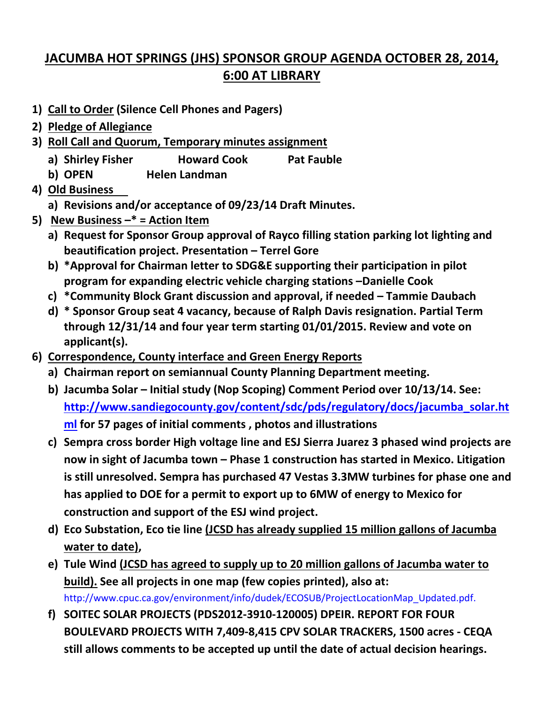## **JACUMBA HOT SPRINGS (JHS) SPONSOR GROUP AGENDA OCTOBER 28, 2014, 6:00 AT LIBRARY**

- **1) Call to Order (Silence Cell Phones and Pagers)**
- **2) Pledge of Allegiance**
- **3) Roll Call and Quorum, Temporary minutes assignment**
	- **a) Shirley Fisher Howard Cook Pat Fauble**
	- **b) OPEN Helen Landman**
- **4) Old Business**
	- **a) Revisions and/or acceptance of 09/23/14 Draft Minutes.**
- **5) New Business –\* = Action Item** 
	- **a) Request for Sponsor Group approval of Rayco filling station parking lot lighting and beautification project. Presentation – Terrel Gore**
	- **b) \*Approval for Chairman letter to SDG&E supporting their participation in pilot program for expanding electric vehicle charging stations –Danielle Cook**
	- **c) \*Community Block Grant discussion and approval, if needed – Tammie Daubach**
	- **d) \* Sponsor Group seat 4 vacancy, because of Ralph Davis resignation. Partial Term through 12/31/14 and four year term starting 01/01/2015. Review and vote on applicant(s).**
- **6) Correspondence, County interface and Green Energy Reports**
	- **a) Chairman report on semiannual County Planning Department meeting.**
	- **b) Jacumba Solar – Initial study (Nop Scoping) Comment Period over 10/13/14. See: [http://www.sandiegocounty.gov/content/sdc/pds/regulatory/docs/jacumba\\_solar.ht](http://www.sandiegocounty.gov/content/sdc/pds/regulatory/docs/jacumba_solar.html) [ml](http://www.sandiegocounty.gov/content/sdc/pds/regulatory/docs/jacumba_solar.html) for 57 pages of initial comments , photos and illustrations**
	- **c) Sempra cross border High voltage line and ESJ Sierra Juarez 3 phased wind projects are now in sight of Jacumba town – Phase 1 construction has started in Mexico. Litigation is still unresolved. Sempra has purchased 47 Vestas 3.3MW turbines for phase one and has applied to DOE for a permit to export up to 6MW of energy to Mexico for construction and support of the ESJ wind project.**
	- **d) Eco Substation, Eco tie line (JCSD has already supplied 15 million gallons of Jacumba water to date),**
	- **e) Tule Wind (JCSD has agreed to supply up to 20 million gallons of Jacumba water to build). See all projects in one map (few copies printed), also at:**  http://www.cpuc.ca.gov/environment/info/dudek/ECOSUB/ProjectLocationMap\_Updated.pdf.
	- **f) SOITEC SOLAR PROJECTS (PDS2012-3910-120005) DPEIR. REPORT FOR FOUR BOULEVARD PROJECTS WITH 7,409-8,415 CPV SOLAR TRACKERS, 1500 acres - CEQA still allows comments to be accepted up until the date of actual decision hearings.**